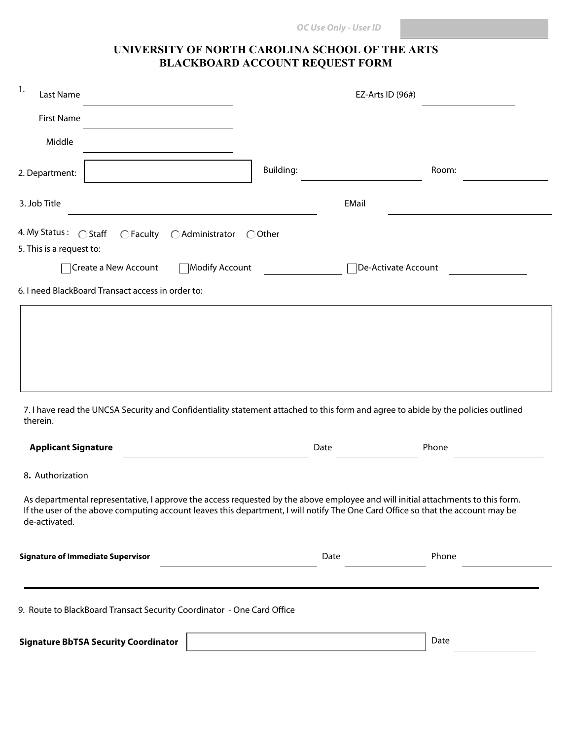## **UNIVERSITY OF NORTH CAROLINA SCHOOL OF THE ARTS BLACKBOARD ACCOUNT REQUEST FORM**

| 1.<br>Last Name                                                                                                                                                                                                                                                                     |                  | EZ-Arts ID (96#)    |  |  |  |
|-------------------------------------------------------------------------------------------------------------------------------------------------------------------------------------------------------------------------------------------------------------------------------------|------------------|---------------------|--|--|--|
| <b>First Name</b>                                                                                                                                                                                                                                                                   |                  |                     |  |  |  |
| Middle                                                                                                                                                                                                                                                                              |                  |                     |  |  |  |
| 2. Department:                                                                                                                                                                                                                                                                      | <b>Building:</b> | Room:               |  |  |  |
| 3. Job Title                                                                                                                                                                                                                                                                        | <b>EMail</b>     |                     |  |  |  |
| 4. My Status: C Staff<br>$\bigcap$ Faculty $\bigcap$ Administrator<br>5. This is a request to:                                                                                                                                                                                      | $\bigcirc$ Other |                     |  |  |  |
| Create a New Account                                                                                                                                                                                                                                                                | Modify Account   | De-Activate Account |  |  |  |
| 6. I need BlackBoard Transact access in order to:                                                                                                                                                                                                                                   |                  |                     |  |  |  |
| 7. I have read the UNCSA Security and Confidentiality statement attached to this form and agree to abide by the policies outlined<br>therein.<br><b>Applicant Signature</b><br>8. Authorization                                                                                     | Date             | Phone               |  |  |  |
| As departmental representative, I approve the access requested by the above employee and will initial attachments to this form.<br>If the user of the above computing account leaves this department, I will notify The One Card Office so that the account may be<br>de-activated. |                  |                     |  |  |  |
| <b>Signature of Immediate Supervisor</b>                                                                                                                                                                                                                                            | Date             | Phone               |  |  |  |
| 9. Route to BlackBoard Transact Security Coordinator - One Card Office                                                                                                                                                                                                              |                  |                     |  |  |  |
| <b>Signature BbTSA Security Coordinator</b>                                                                                                                                                                                                                                         |                  | Date                |  |  |  |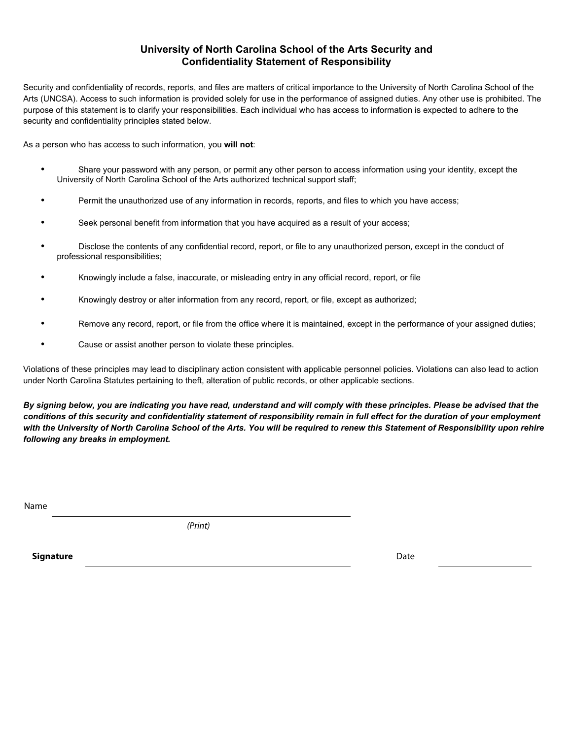## **University of North Carolina School of the Arts Security and Confidentiality Statement of Responsibility**

Security and confidentiality of records, reports, and files are matters of critical importance to the University of North Carolina School of the Arts (UNCSA). Access to such information is provided solely for use in the performance of assigned duties. Any other use is prohibited. The purpose of this statement is to clarify your responsibilities. Each individual who has access to information is expected to adhere to the security and confidentiality principles stated below.

As a person who has access to such information, you **will not**:

- Share your password with any person, or permit any other person to access information using your identity, except the University of North Carolina School of the Arts authorized technical support staff;
- Permit the unauthorized use of any information in records, reports, and files to which you have access;
- Seek personal benefit from information that you have acquired as a result of your access;
- Disclose the contents of any confidential record, report, or file to any unauthorized person, except in the conduct of professional responsibilities;
- Knowingly include a false, inaccurate, or misleading entry in any official record, report, or file
- Knowingly destroy or alter information from any record, report, or file, except as authorized;
- Remove any record, report, or file from the office where it is maintained, except in the performance of your assigned duties;
- Cause or assist another person to violate these principles.

Violations of these principles may lead to disciplinary action consistent with applicable personnel policies. Violations can also lead to action under North Carolina Statutes pertaining to theft, alteration of public records, or other applicable sections.

*By signing below, you are indicating you have read, understand and will comply with these principles. Please be advised that the conditions of this security and confidentiality statement of responsibility remain in full effect for the duration of your employment with the University of North Carolina School of the Arts. You will be required to renew this Statement of Responsibility upon rehire following any breaks in employment.* 

Name

*(Print)*

**Signature** Date **Date of the Signature** Date of the Signature Date of the Date of the Date of the Date of the Date of the Date of the Date of the Date of the Date of the Date of the Date of the Date of the Date of the Dat